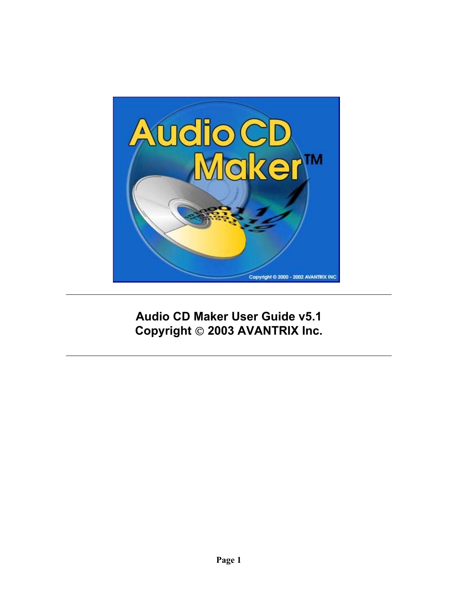

**Audio CD Maker User Guide v5.1 Copyright 2003 AVANTRIX Inc.**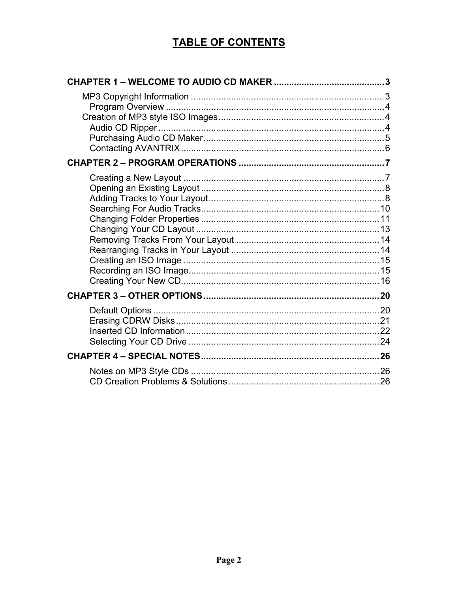### **TABLE OF CONTENTS**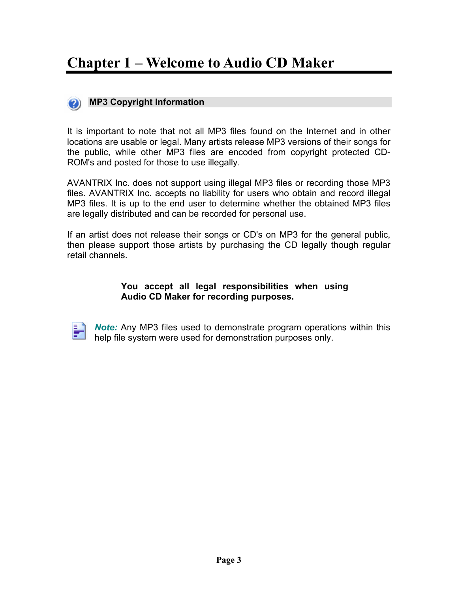## <span id="page-2-0"></span>**Chapter 1 – Welcome to Audio CD Maker**

### **MP3 Copyright Information**

It is important to note that not all MP3 files found on the Internet and in other locations are usable or legal. Many artists release MP3 versions of their songs for the public, while other MP3 files are encoded from copyright protected CD-ROM's and posted for those to use illegally.

AVANTRIX Inc. does not support using illegal MP3 files or recording those MP3 files. AVANTRIX Inc. accepts no liability for users who obtain and record illegal MP3 files. It is up to the end user to determine whether the obtained MP3 files are legally distributed and can be recorded for personal use.

If an artist does not release their songs or CD's on MP3 for the general public, then please support those artists by purchasing the CD legally though regular retail channels.

#### **You accept all legal responsibilities when using Audio CD Maker for recording purposes.**

*Note:* Any MP3 files used to demonstrate program operations within this help file system were used for demonstration purposes only.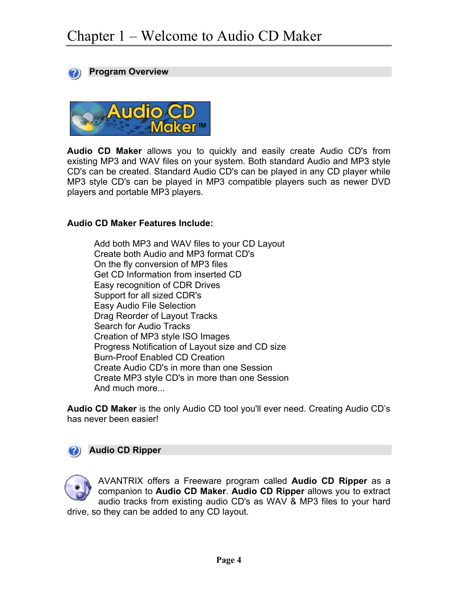<span id="page-3-0"></span>



**Audio CD Maker** allows you to quickly and easily create Audio CD's from existing MP3 and WAV files on your system. Both standard Audio and MP3 style CD's can be created. Standard Audio CD's can be played in any CD player while MP3 style CD's can be played in MP3 compatible players such as newer DVD players and portable MP3 players.

#### **Audio CD Maker Features Include:**

Add both MP3 and WAV files to your CD Layout Create both Audio and MP3 format CD's On the fly conversion of MP3 files Get CD Information from inserted CD Easy recognition of CDR Drives Support for all sized CDR's Easy Audio File Selection Drag Reorder of Layout Tracks Search for Audio Tracks Creation of MP3 style ISO Images Progress Notification of Layout size and CD size Burn-Proof Enabled CD Creation Create Audio CD's in more than one Session Create MP3 style CD's in more than one Session And much more...

**Audio CD Maker** is the only Audio CD tool you'll ever need. Creating Audio CD's has never been easier!

#### **Audio CD Ripper**

AVANTRIX offers a Freeware program called **Audio CD Ripper** as a companion to **Audio CD Maker**. **Audio CD Ripper** allows you to extract audio tracks from existing audio CD's as WAV & MP3 files to your hard drive, so they can be added to any CD layout.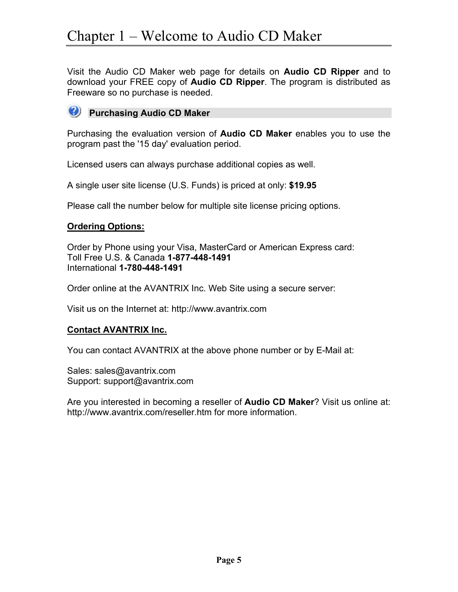<span id="page-4-0"></span>Visit the Audio CD Maker web page for details on **Audio CD Ripper** and to download your FREE copy of **Audio CD Ripper**. The program is distributed as Freeware so no purchase is needed.



Purchasing the evaluation version of **Audio CD Maker** enables you to use the program past the '15 day' evaluation period.

Licensed users can always purchase additional copies as well.

A single user site license (U.S. Funds) is priced at only: **\$19.95**

Please call the number below for multiple site license pricing options.

#### **Ordering Options:**

Order by Phone using your Visa, MasterCard or American Express card: Toll Free U.S. & Canada **1-877-448-1491** International **1-780-448-1491**

Order online at the AVANTRIX Inc. Web Site using a secure server:

Visit us on the Internet at: http://www.avantrix.com

#### **Contact AVANTRIX Inc.**

You can contact AVANTRIX at the above phone number or by E-Mail at:

Sales: sales@avantrix.com Support: support@avantrix.com

Are you interested in becoming a reseller of **Audio CD Maker**? Visit us online at: http://www.avantrix.com/reseller.htm for more information.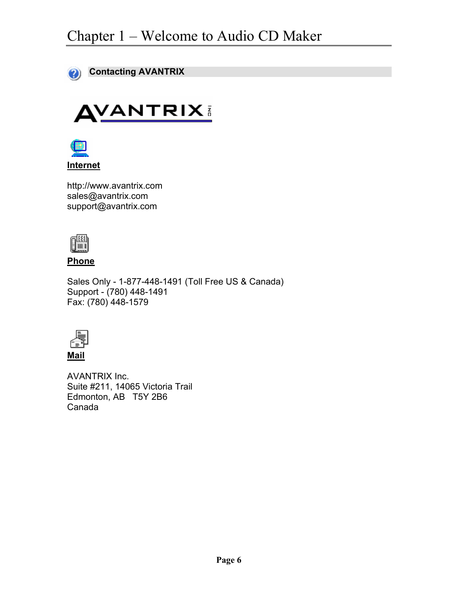<span id="page-5-0"></span>

# **AVANTRIX**



http://www.avantrix.com sales@avantrix.com support@avantrix.com



#### **Phone**

Sales Only - 1-877-448-1491 (Toll Free US & Canada) Support - (780) 448-1491 Fax: (780) 448-1579



AVANTRIX Inc. Suite #211, 14065 Victoria Trail Edmonton, AB T5Y 2B6 Canada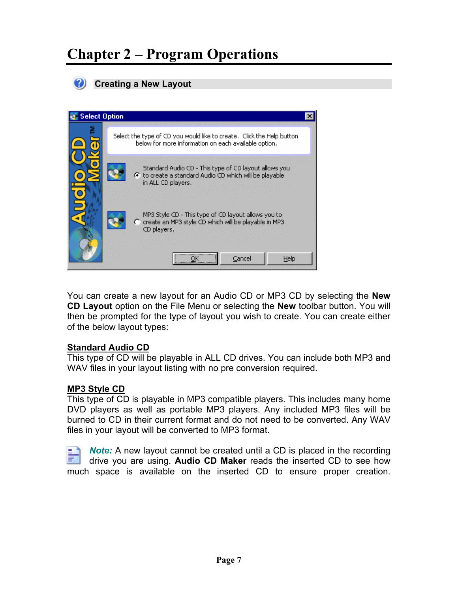## <span id="page-6-0"></span>**Chapter 2 – Program Operations**



**Creating a New Layout** 



You can create a new layout for an Audio CD or MP3 CD by selecting the **New CD Layout** option on the File Menu or selecting the **New** toolbar button. You will then be prompted for the type of layout you wish to create. You can create either of the below layout types:

#### **Standard Audio CD**

This type of CD will be playable in ALL CD drives. You can include both MP3 and WAV files in your layout listing with no pre conversion required.

#### **MP3 Style CD**

This type of CD is playable in MP3 compatible players. This includes many home DVD players as well as portable MP3 players. Any included MP3 files will be burned to CD in their current format and do not need to be converted. Any WAV files in your layout will be converted to MP3 format.

*Note:* A new layout cannot be created until a CD is placed in the recording drive you are using. **Audio CD Maker** reads the inserted CD to see how much space is available on the inserted CD to ensure proper creation.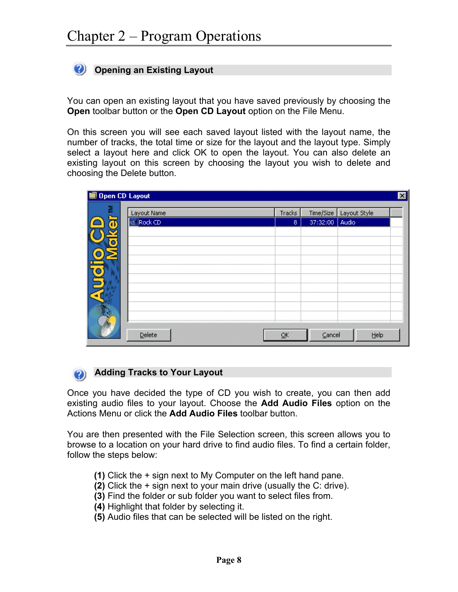#### <span id="page-7-0"></span>**Opening an Existing Layout**

You can open an existing layout that you have saved previously by choosing the **Open** toolbar button or the **Open CD Layout** option on the File Menu.

On this screen you will see each saved layout listed with the layout name, the number of tracks, the total time or size for the layout and the layout type. Simply select a layout here and click OK to open the layout. You can also delete an existing layout on this screen by choosing the layout you wish to delete and choosing the Delete button.

| <b>■ Open CD Layout</b> |             |              |          |                          | ⊠ |
|-------------------------|-------------|--------------|----------|--------------------------|---|
| 홑                       | Layout Name | Tracks       |          | Time/Size   Layout Style |   |
| o                       | Rock CD     | $\mathbf{8}$ | 37:32:00 | Audio                    |   |
|                         |             |              |          |                          |   |
|                         |             |              |          |                          |   |
|                         |             |              |          |                          |   |
|                         |             |              |          |                          |   |
|                         |             |              |          |                          |   |
| ٠                       |             |              |          |                          |   |
|                         |             |              |          |                          |   |
|                         |             |              |          |                          |   |
|                         |             |              |          |                          |   |
|                         | Delete      | QK           | Cancel   | Help                     |   |

#### **Adding Tracks to Your Layout**

Once you have decided the type of CD you wish to create, you can then add existing audio files to your layout. Choose the **Add Audio Files** option on the Actions Menu or click the **Add Audio Files** toolbar button.

You are then presented with the File Selection screen, this screen allows you to browse to a location on your hard drive to find audio files. To find a certain folder, follow the steps below:

- **(1)** Click the + sign next to My Computer on the left hand pane.
- **(2)** Click the + sign next to your main drive (usually the C: drive).
- **(3)** Find the folder or sub folder you want to select files from.
- **(4)** Highlight that folder by selecting it.
- **(5)** Audio files that can be selected will be listed on the right.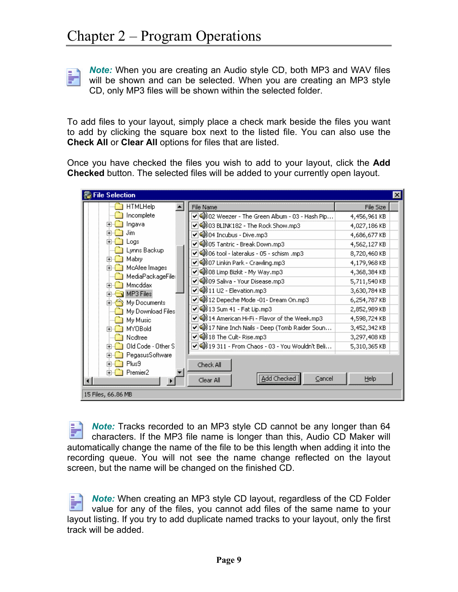P)

*Note:* When you are creating an Audio style CD, both MP3 and WAV files will be shown and can be selected. When you are creating an MP3 style CD, only MP3 files will be shown within the selected folder.

To add files to your layout, simply place a check mark beside the files you want to add by clicking the square box next to the listed file. You can also use the **Check All** or **Clear All** options for files that are listed.

Once you have checked the files you wish to add to your layout, click the **Add Checked** button. The selected files will be added to your currently open layout.

| <b>File Selection</b>       |                                                   |              |
|-----------------------------|---------------------------------------------------|--------------|
| <b>HTMLHelp</b>             | File Name                                         | File Size    |
| Incomplete                  | ✔ 400 02 Weezer - The Green Album - 03 - Hash Pip | 4,456,961 KB |
| Ingava<br>$\overline{+}$    | ☑ 4003 BLINK182 - The Rock Show.mp3               | 4,027,186 KB |
| Jim                         | ▽ 400 04 Incubus - Dive.mp3                       | 4,686,677 KB |
| <b>cod</b> s                | ✔ 105 Tantric - Break Down.mp3                    | 4,562,127KB  |
| Lynns Backup                | ▽ 4006 tool - lateralus - 05 - schism .mp3        | 8,720,460 KB |
| Mabry<br>田<br>McAfee Images | ☑ 4007 Linkin Park - Crawling.mp3                 | 4,179,968 KB |
| MediaPackageFile:           | √4008 Limp Bizkit - My Way.mp3                    | 4,368,384 KB |
| Mmoddax<br>曱                | 기4009 Saliva - Your Disease.mp3                   | 5,711,540 KB |
| MP3 Files<br>曱              | ▽④ 11 U2 - Elevation.mp3                          | 3,630,784 KB |
| My Documents                | √4) 12 Depeche Mode -01- Dream On.mp3             | 6,254,787 KB |
| My Download Files)          | ☑ 13 Sum 41 - Fat Lip.mp3                         | 2,852,989 KB |
| My Music                    | ✔ 4) 14 American Hi-Fi - Flavor of the Week.mp3   | 4,598,724 KB |
| MYOBold                     | ✔ 4) 17 Nine Inch Nails - Deep (Tomb Raider Soun  | 3,452,342 KB |
| Nedtree                     | ✔ 40 18 The Cult-Rise.mp3                         | 3,297,408 KB |
| Old Code - Other S<br>圧     | ▽ ④ 19 311 - From Chaos - 03 - You Wouldn't Beli  | 5,310,365 KB |
| PegasusSoftware<br>曱        |                                                   |              |
| Plus9<br>曱                  | Check All                                         |              |
| Premier2<br><b>F</b>        | Add Checked<br>Cancel<br>Clear All                | Help         |
| 15 Files, 66.86 MB          |                                                   |              |

*Note:* Tracks recorded to an MP3 style CD cannot be any longer than 64 characters. If the MP3 file name is longer than this, Audio CD Maker will automatically change the name of the file to be this length when adding it into the recording queue. You will not see the name change reflected on the layout screen, but the name will be changed on the finished CD.

*Note:* When creating an MP3 style CD layout, regardless of the CD Folder value for any of the files, you cannot add files of the same name to your layout listing. If you try to add duplicate named tracks to your layout, only the first track will be added.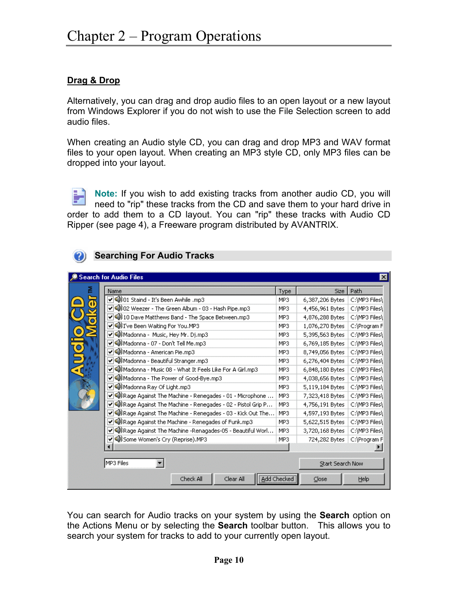**Searching For Audio Tracks** 

#### <span id="page-9-0"></span>**Drag & Drop**

Alternatively, you can drag and drop audio files to an open layout or a new layout from Windows Explorer if you do not wish to use the File Selection screen to add audio files.

When creating an Audio style CD, you can drag and drop MP3 and WAV format files to your open layout. When creating an MP3 style CD, only MP3 files can be dropped into your layout.

**Note:** If you wish to add existing tracks from another audio CD, you will need to "rip" these tracks from the CD and save them to your hard drive in order to add them to a CD layout. You can "rip" these tracks with Audio CD Ripper (see page 4), a Freeware program distributed by AVANTRIX.

|   | Search for Audio Files                                                          |             |                  | ×              |
|---|---------------------------------------------------------------------------------|-------------|------------------|----------------|
| 졷 | Name                                                                            | Type        | Size:            | Path           |
|   | ▽ 400 01 Staind - It's Been Awhile .mp3                                         | MP3         | 6,387,206 Bytes  | C:\MP3 Files\  |
|   | ☑ 40 02 Weezer - The Green Album - 03 - Hash Pipe.mp3                           | MP3         | 4,456,961 Bytes  | C:\MP3 Files\  |
|   | ✔ 40 10 Dave Matthews Band - The Space Between.mp3                              | MP3         | 4,876,288 Bytes  | C:\MP3 Files\  |
|   | ✔ 4) I've Been Waiting For You.MP3                                              | MP3         | 1,076,270 Bytes  | C:\Program Fi  |
|   | V 4) Madonna - Music, Hey Mr. Dj.mp3                                            | MP3         | 5,395,563 Bytes  | C:\MP3 Files\  |
|   | ▽ 4) Madonna - 07 - Don't Tell Me.mp3                                           | MP3         | 6,769,185 Bytes  | C:\MP3 Files\  |
|   | ✔ 10 Madonna - American Pie.mp3                                                 | MP3         | 8,749,056 Bytes  | C:\MP3 Files\  |
|   | √ 4) Madonna - Beautiful Stranger.mp3                                           | MP3         | 6,276,404 Bytes  | C:\MP3 Files\  |
| ₹ | √ @D Madonna - Music 08 - What It Feels Like For A Girl.mp3                     | MP3         | 6,848,180 Bytes  | C:\MP3 Files\l |
|   | √ 4) Madonna - The Power of Good-Bye.mp3                                        | MP3         | 4,038,656 Bytes  | C:\MP3 Files\  |
|   | ✔ 4) Madonna Ray Of Light.mp3                                                   | MP3         | 5,119,184 Bytes  | C:\MP3 Files\  |
|   | $\blacktriangledown$ (4) Rage Against The Machine - Renegades - 01 - Microphone | MP3         | 7,323,418 Bytes  | C:\MP3 Files\  |
|   | V 4) Rage Against The Machine - Renegades - 02 - Pistol Grip P                  | MP3         | 4,756,191 Bytes  | C:\MP3 Files\  |
|   | $\sqrt{\mathbb{Q}}$ ) Rage Against The Machine - Renegades - 03 - Kick Out The  | MP3         | 4,597,193 Bytes  | C:\MP3 Files\  |
|   | ✔ 4) Rage Against the Machine - Renegades of Funk.mp3                           | MP3         | 5,622,515 Bytes  | C:\MP3 Files\  |
|   | V 4) Rage Against The Machine -Renagades-05 - Beautiful Worl                    | MP3         | 3,720,168 Bytes  | C:\MP3 Files\  |
|   | √ 40 Some Women's Cry (Reprise).MP3                                             | MP3         | 724,282 Bytes    | C:\Program F   |
|   |                                                                                 |             |                  |                |
|   | MP3 Files                                                                       |             | Start Search Now |                |
|   | Check All<br>Clear All                                                          | Add Checked | $C$ lose         | Help           |

You can search for Audio tracks on your system by using the **Search** option on the Actions Menu or by selecting the **Search** toolbar button. This allows you to search your system for tracks to add to your currently open layout.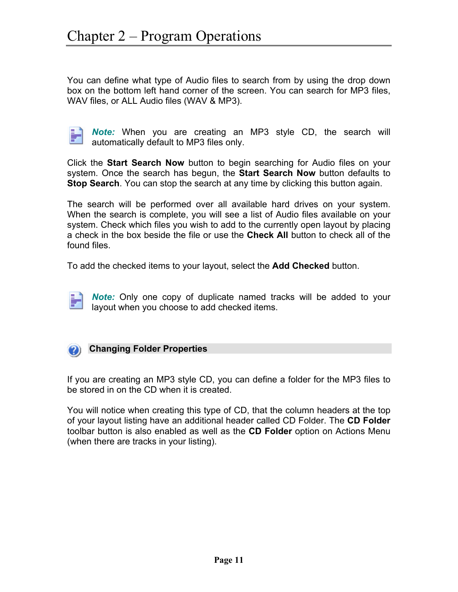<span id="page-10-0"></span>You can define what type of Audio files to search from by using the drop down box on the bottom left hand corner of the screen. You can search for MP3 files, WAV files, or ALL Audio files (WAV & MP3).

| a sa salah sa |  |
|---------------|--|
|               |  |
|               |  |
|               |  |
|               |  |
|               |  |

*Note:* When you are creating an MP3 style CD, the search will automatically default to MP3 files only.

Click the **Start Search Now** button to begin searching for Audio files on your system. Once the search has begun, the **Start Search Now** button defaults to **Stop Search**. You can stop the search at any time by clicking this button again.

The search will be performed over all available hard drives on your system. When the search is complete, you will see a list of Audio files available on your system. Check which files you wish to add to the currently open layout by placing a check in the box beside the file or use the **Check All** button to check all of the found files.

To add the checked items to your layout, select the **Add Checked** button.

*Note:* Only one copy of duplicate named tracks will be added to your layout when you choose to add checked items.



If you are creating an MP3 style CD, you can define a folder for the MP3 files to be stored in on the CD when it is created.

You will notice when creating this type of CD, that the column headers at the top of your layout listing have an additional header called CD Folder. The **CD Folder** toolbar button is also enabled as well as the **CD Folder** option on Actions Menu (when there are tracks in your listing).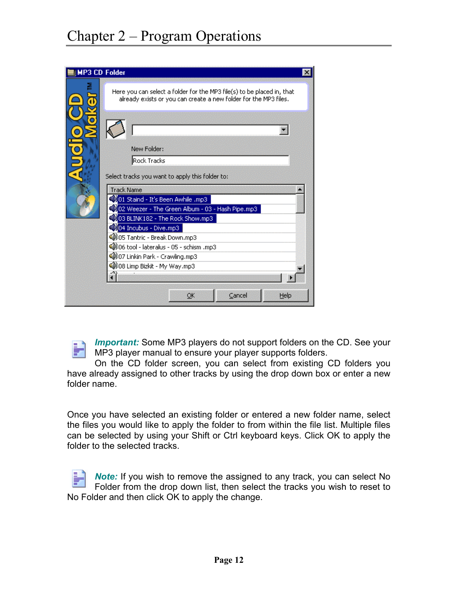## Chapter 2 – Program Operations

| <b>MP3 CD Folder</b> |                                                                                                                                            |
|----------------------|--------------------------------------------------------------------------------------------------------------------------------------------|
|                      | Here you can select a folder for the MP3 file(s) to be placed in, that<br>already exists or you can create a new folder for the MP3 files. |
|                      |                                                                                                                                            |
|                      | New Folder:                                                                                                                                |
|                      | Rock Tracks                                                                                                                                |
|                      | Select tracks you want to apply this folder to:                                                                                            |
|                      | <b>Track Name</b>                                                                                                                          |
|                      | 01 Staind - It's Been Awhile .mp3<br>02 Weezer - The Green Album - 03 - Hash Pipe.mp3 &                                                    |
|                      | 03 BLINK182 - The Rock Show.mp3                                                                                                            |
|                      | 404 Incubus - Dive.mp3                                                                                                                     |
|                      | 4)05 Tantric - Break Down.mp3                                                                                                              |
|                      | (D) 06 tool - lateralus - 05 - schism .mp3                                                                                                 |
|                      | 4007 Linkin Park - Crawling.mp3                                                                                                            |
|                      | 4)08 Limp Bizkit - My Way.mp3                                                                                                              |
|                      |                                                                                                                                            |
|                      | Cancel<br>Help<br>OK                                                                                                                       |

*Important:* Some MP3 players do not support folders on the CD. See your MP3 player manual to ensure your player supports folders.

On the CD folder screen, you can select from existing CD folders you have already assigned to other tracks by using the drop down box or enter a new folder name.

Once you have selected an existing folder or entered a new folder name, select the files you would like to apply the folder to from within the file list. Multiple files can be selected by using your Shift or Ctrl keyboard keys. Click OK to apply the folder to the selected tracks.

*Note:* If you wish to remove the assigned to any track, you can select No Folder from the drop down list, then select the tracks you wish to reset to No Folder and then click OK to apply the change.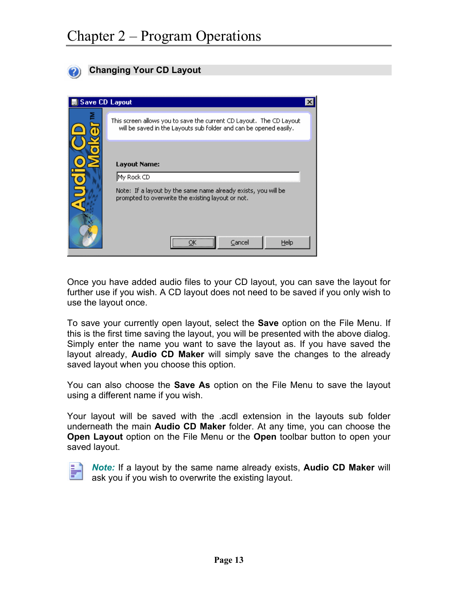<span id="page-12-0"></span>

#### **Changing Your CD Layout**

| <b>All Save CD Layout</b> |                                                                                                                                         |  |
|---------------------------|-----------------------------------------------------------------------------------------------------------------------------------------|--|
|                           | This screen allows you to save the current CD Layout,The CD Layout<br>will be saved in the Layouts sub folder and can be opened easily. |  |
|                           | <b>Layout Name:</b><br>My Rock CD                                                                                                       |  |
|                           | Note: If a layout by the same name already exists, you will be<br>prompted to overwrite the existing layout or not.                     |  |
|                           | Cancel<br>Help                                                                                                                          |  |

Once you have added audio files to your CD layout, you can save the layout for further use if you wish. A CD layout does not need to be saved if you only wish to use the layout once.

To save your currently open layout, select the **Save** option on the File Menu. If this is the first time saving the layout, you will be presented with the above dialog. Simply enter the name you want to save the layout as. If you have saved the layout already, **Audio CD Maker** will simply save the changes to the already saved layout when you choose this option.

You can also choose the **Save As** option on the File Menu to save the layout using a different name if you wish.

Your layout will be saved with the .acdl extension in the layouts sub folder underneath the main **Audio CD Maker** folder. At any time, you can choose the **Open Layout** option on the File Menu or the **Open** toolbar button to open your saved layout.



*Note:* If a layout by the same name already exists, **Audio CD Maker** will ask you if you wish to overwrite the existing layout.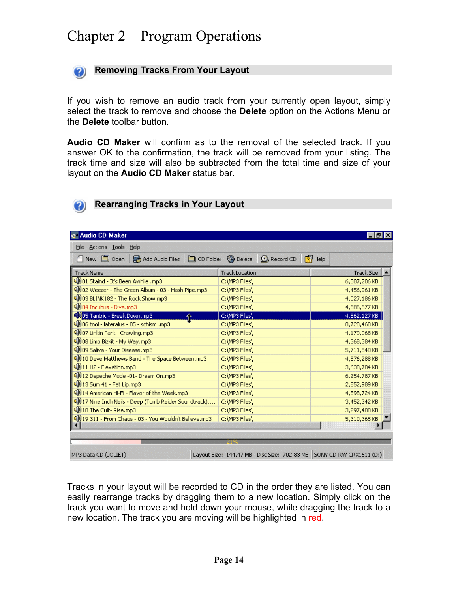<span id="page-13-0"></span>

#### **Removing Tracks From Your Layout**

If you wish to remove an audio track from your currently open layout, simply select the track to remove and choose the **Delete** option on the Actions Menu or the **Delete** toolbar button.

**Audio CD Maker** will confirm as to the removal of the selected track. If you answer OK to the confirmation, the track will be removed from your listing. The track time and size will also be subtracted from the total time and size of your layout on the **Audio CD Maker** status bar.

#### **Rearranging Tracks in Your Layout**

| <b>Audio CD Maker</b>                                  |                                                                         |              |
|--------------------------------------------------------|-------------------------------------------------------------------------|--------------|
| File Actions Tools Help                                |                                                                         |              |
| □ New □ Open                                           | Add Audio Files   O CD Folder @ Delete   Q, Record CD   27 Help         |              |
| <b>Track Name</b>                                      | <b>Track Location</b>                                                   | Track Size   |
| 13 (D) O1 Staind - It's Been Awhile                    | C:\MP3 Files\                                                           | 6,387,206 KB |
| 4002 Weezer - The Green Album - 03 - Hash Pipe.mp3     | C:\MP3 Files\                                                           | 4,456,961 KB |
| 4) 03 BLINK182 - The Rock Show.mp3                     | C:\MP3 Files\                                                           | 4,027,186 KB |
| 4004 Incubus - Dive.mp3                                | C:\MP3 Files\                                                           | 4,686,677 KB |
| 405 Tantric - Break Down.mp3<br>Ê                      | C:\MP3 Files\                                                           | 4,562,127 KB |
| OD 06 tool - lateralus - 05 - schism .mp3              | C:\MP3 Files\                                                           | 8,720,460 KB |
| 4007 Linkin Park - Crawling.mp3                        | C:\MP3 Files\                                                           | 4,179,968 KB |
| 4)08 Limp Bizkit - My Way.mp3                          | C:\MP3 Files\                                                           | 4,368,384 KB |
| 40 09 Saliva - Your Disease.mp3                        | C:\MP3 Files\                                                           | 5,711,540 KB |
| 40 10 Dave Matthews Band - The Space Between.mp3       | C:\MP3 Files\                                                           | 4,876,288 KB |
| 11 U2 - Elevation.mp3                                  | C:\MP3 Files\                                                           | 3,630,784 KB |
| 4) 12 Depeche Mode -01- Dream On.mp3                   | C:\MP3 Files\                                                           | 6,254,787 KB |
| 4) 13 Sum 41 - Fat Lip.mp3                             | C:\MP3 Files\                                                           | 2,852,989 KB |
| 4) 14 American Hi-Fi - Flavor of the Week.mp3          | C:\MP3 Files\                                                           | 4,598,724 KB |
| 40) 17 Nine Inch Nails - Deep (Tomb Raider Soundtrack) | C:\MP3 Files\                                                           | 3,452,342 KB |
| 4) 18 The Cult-Rise.mp3                                | C:\MP3 Files\                                                           | 3,297,408 KB |
| @D 19 311 - From Chaos - 03 - You Wouldn't Believe.mp3 | C:\MP3 Files\                                                           | 5,310,365 KB |
|                                                        |                                                                         |              |
|                                                        |                                                                         |              |
|                                                        |                                                                         |              |
| MP3 Data CD (JOLIET)                                   | Layout Size: 144.47 MB - Disc Size: 702.83 MB   SONY CD-RW CRX1611 (D:) |              |

Tracks in your layout will be recorded to CD in the order they are listed. You can easily rearrange tracks by dragging them to a new location. Simply click on the track you want to move and hold down your mouse, while dragging the track to a new location. The track you are moving will be highlighted in red.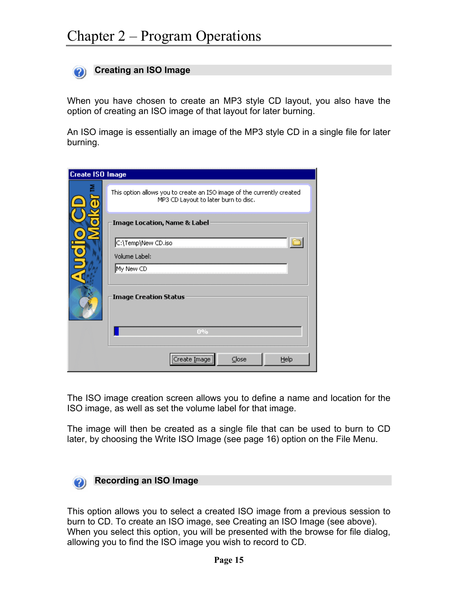<span id="page-14-0"></span>

When you have chosen to create an MP3 style CD layout, you also have the option of creating an ISO image of that layout for later burning.

An ISO image is essentially an image of the MP3 style CD in a single file for later burning.

| <b>Create ISO Image</b> |                                                                                                                |
|-------------------------|----------------------------------------------------------------------------------------------------------------|
|                         | This option allows you to create an ISO image of the currently created<br>MP3 CD Layout to later burn to disc. |
|                         | <b>Image Location, Name &amp; Label</b>                                                                        |
|                         | C:\Temp\New CD.iso                                                                                             |
|                         | Volume Label:                                                                                                  |
|                         | My New CD                                                                                                      |
|                         | <b>Image Creation Status</b>                                                                                   |
|                         | $0\%$                                                                                                          |
|                         | <br>$C$ lose<br>Help<br>Create Image                                                                           |

The ISO image creation screen allows you to define a name and location for the ISO image, as well as set the volume label for that image.

The image will then be created as a single file that can be used to burn to CD later, by choosing the Write ISO Image (see page 16) option on the File Menu.



This option allows you to select a created ISO image from a previous session to burn to CD. To create an ISO image, see Creating an ISO Image (see above). When you select this option, you will be presented with the browse for file dialog, allowing you to find the ISO image you wish to record to CD.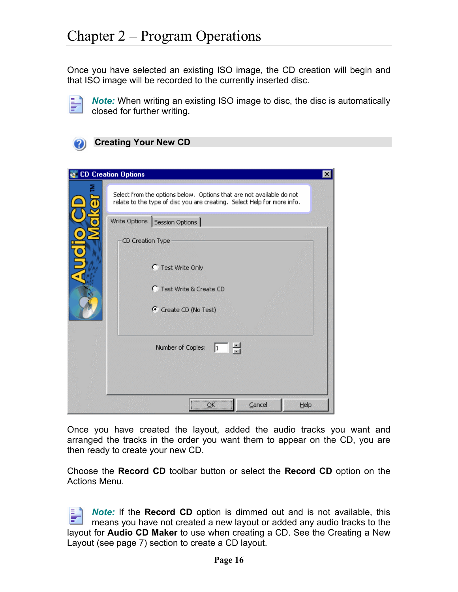<span id="page-15-0"></span>Once you have selected an existing ISO image, the CD creation will begin and that ISO image will be recorded to the currently inserted disc.



*Note:* When writing an existing ISO image to disc, the disc is automatically closed for further writing.



| <b>CD Creation Options</b><br>$\times$                                                                                                          |
|-------------------------------------------------------------------------------------------------------------------------------------------------|
| Select from the options below. Options that are not available do not<br>relate to the type of disc you are creating. Select Help for more info. |
| Write Options   Session Options                                                                                                                 |
| CD Creation Type                                                                                                                                |
| C Test Write Only                                                                                                                               |
| C Test Write & Create CD                                                                                                                        |
| C Create CD (No Test)                                                                                                                           |
| 봄<br>Number of Copies:<br> 1                                                                                                                    |
|                                                                                                                                                 |
| ,,,,,,,,,,,,,,,,,,,,,,,,,,,<br>Cancel<br>Help<br>ОK<br><del></del>                                                                              |

Once you have created the layout, added the audio tracks you want and arranged the tracks in the order you want them to appear on the CD, you are then ready to create your new CD.

Choose the **Record CD** toolbar button or select the **Record CD** option on the Actions Menu.

*Note:* If the **Record CD** option is dimmed out and is not available, this means you have not created a new layout or added any audio tracks to the layout for **Audio CD Maker** to use when creating a CD. See the Creating a New Layout (see page 7) section to create a CD layout.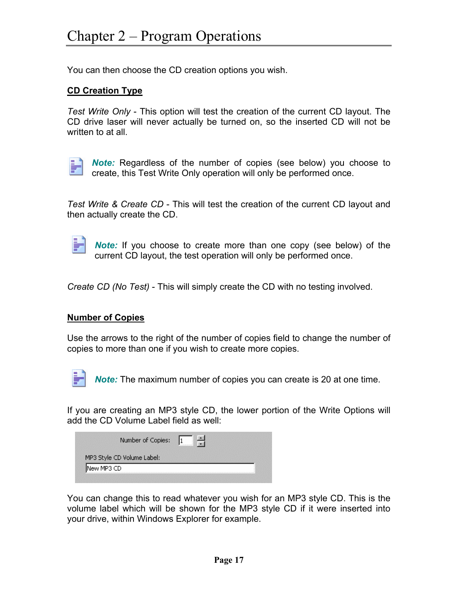You can then choose the CD creation options you wish.

#### **CD Creation Type**

*Test Write Only* - This option will test the creation of the current CD layout. The CD drive laser will never actually be turned on, so the inserted CD will not be written to at all.



*Note:* Regardless of the number of copies (see below) you choose to create, this Test Write Only operation will only be performed once.

*Test Write & Create CD* - This will test the creation of the current CD layout and then actually create the CD.



*Note:* If you choose to create more than one copy (see below) of the current CD layout, the test operation will only be performed once.

*Create CD (No Test)* - This will simply create the CD with no testing involved.

#### **Number of Copies**

Use the arrows to the right of the number of copies field to change the number of copies to more than one if you wish to create more copies.



*Note:* The maximum number of copies you can create is 20 at one time.

If you are creating an MP3 style CD, the lower portion of the Write Options will add the CD Volume Label field as well:

| Number of Copies:          |  |
|----------------------------|--|
| MP3 Style CD Volume Label: |  |
| INew MP3 CD                |  |

You can change this to read whatever you wish for an MP3 style CD. This is the volume label which will be shown for the MP3 style CD if it were inserted into your drive, within Windows Explorer for example.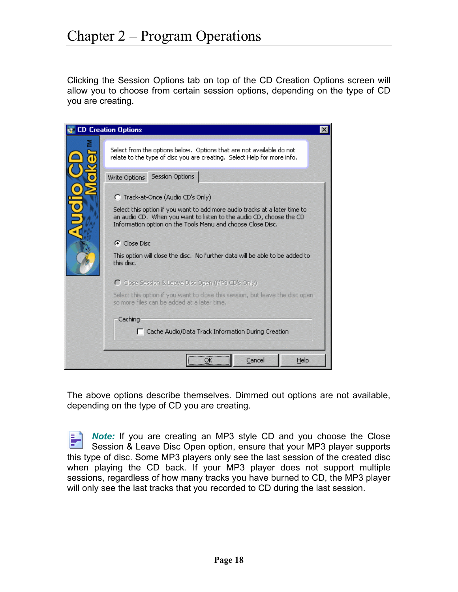Clicking the Session Options tab on top of the CD Creation Options screen will allow you to choose from certain session options, depending on the type of CD you are creating.

| <b>CD Creation Options</b>                                                                                                                                                                                       |
|------------------------------------------------------------------------------------------------------------------------------------------------------------------------------------------------------------------|
| Select from the options below,Options that are not available do not<br>relate to the type of disc you are creating. Select Help for more info.                                                                   |
| Session Options<br>Write Options                                                                                                                                                                                 |
| (Track-at-Once (Audio CD's Only)                                                                                                                                                                                 |
| Select this option if you want to add more audio tracks at a later time to<br>an audio CD. When you want to listen to the audio CD, choose the CD<br>Information option on the Tools Menu and choose Close Disc. |
| <b>G</b> Close Disc                                                                                                                                                                                              |
| This option will close the disc. No further data will be able to be added to<br>this disc.                                                                                                                       |
| C Close Session & Leave Disc Open (MP3 CD's Only)                                                                                                                                                                |
| Select this option if you want to close this session, but leave the disc open<br>so more files can be added at a later time.                                                                                     |
| Caching<br>Cache Audio/Data Track Information During Creation                                                                                                                                                    |
| <br>Cancel<br>Help<br>Ωk                                                                                                                                                                                         |

The above options describe themselves. Dimmed out options are not available, depending on the type of CD you are creating.

*Note:* If you are creating an MP3 style CD and you choose the Close Session & Leave Disc Open option, ensure that your MP3 player supports this type of disc. Some MP3 players only see the last session of the created disc when playing the CD back. If your MP3 player does not support multiple sessions, regardless of how many tracks you have burned to CD, the MP3 player will only see the last tracks that you recorded to CD during the last session.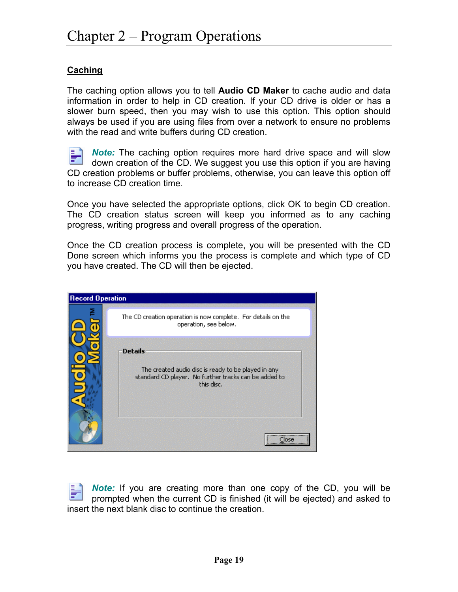#### **Caching**

The caching option allows you to tell **Audio CD Maker** to cache audio and data information in order to help in CD creation. If your CD drive is older or has a slower burn speed, then you may wish to use this option. This option should always be used if you are using files from over a network to ensure no problems with the read and write buffers during CD creation.

*Note:* The caching option requires more hard drive space and will slow down creation of the CD. We suggest you use this option if you are having CD creation problems or buffer problems, otherwise, you can leave this option off to increase CD creation time.

Once you have selected the appropriate options, click OK to begin CD creation. The CD creation status screen will keep you informed as to any caching progress, writing progress and overall progress of the operation.

Once the CD creation process is complete, you will be presented with the CD Done screen which informs you the process is complete and which type of CD you have created. The CD will then be ejected.

| <b>Record Operation</b> |                                                                                                                                                  |
|-------------------------|--------------------------------------------------------------------------------------------------------------------------------------------------|
|                         | The CD creation operation is now complete. For details on the<br>operation, see below.                                                           |
|                         | <b>Details</b><br>The created audio disc is ready to be played in any<br>standard CD player. No further tracks can be added to<br>this disc.<br> |

*Note:* If you are creating more than one copy of the CD, you will be prompted when the current CD is finished (it will be ejected) and asked to insert the next blank disc to continue the creation.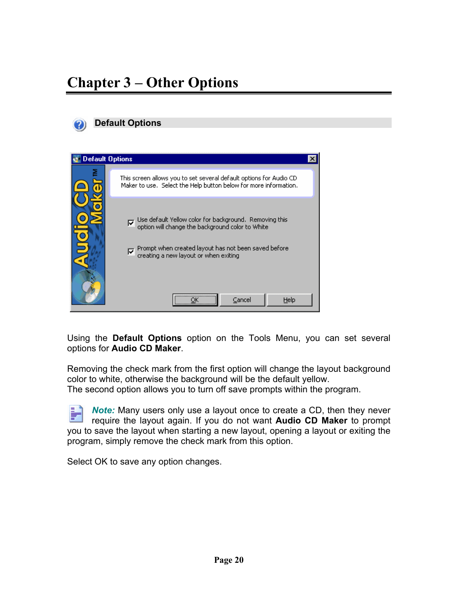<span id="page-19-0"></span>

| <b>Default Options</b> |                                                                                                                                                                                                                                              |  |
|------------------------|----------------------------------------------------------------------------------------------------------------------------------------------------------------------------------------------------------------------------------------------|--|
|                        | This screen allows you to set several default options for Audio CD<br>Maker to use. Select the Help button below for more information.                                                                                                       |  |
|                        | Use default Yellow color for background. Removing this<br>option will change the background color to White<br>ঢ়<br>Prompt when created layout has not been saved before<br>creating a new layout or when exiting<br>⊽<br><br>Cancel<br>Help |  |

Using the **Default Options** option on the Tools Menu, you can set several options for **Audio CD Maker**.

Removing the check mark from the first option will change the layout background color to white, otherwise the background will be the default yellow. The second option allows you to turn off save prompts within the program.

*Note:* Many users only use a layout once to create a CD, then they never F require the layout again. If you do not want **Audio CD Maker** to prompt you to save the layout when starting a new layout, opening a layout or exiting the program, simply remove the check mark from this option.

Select OK to save any option changes.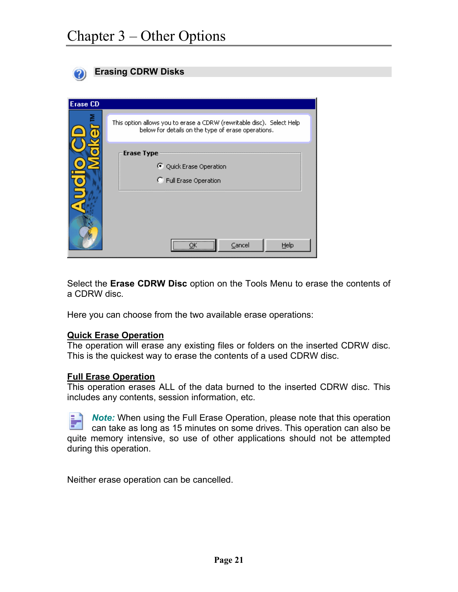<span id="page-20-0"></span>

|                 | <b>Erasing CDRW Disks</b>                                                                                                    |
|-----------------|------------------------------------------------------------------------------------------------------------------------------|
|                 |                                                                                                                              |
| <b>Erase CD</b> |                                                                                                                              |
|                 | This option allows you to erase a CDRW (rewritable disc). Select Help-<br>below for details on the type of erase operations. |
|                 | <b>Erase Type</b><br>← Quick Erase Operation<br>C Full Erase Operation                                                       |
|                 | <br>Cancel<br>Help                                                                                                           |

Select the **Erase CDRW Disc** option on the Tools Menu to erase the contents of a CDRW disc.

Here you can choose from the two available erase operations:

#### **Quick Erase Operation**

The operation will erase any existing files or folders on the inserted CDRW disc. This is the quickest way to erase the contents of a used CDRW disc.

#### **Full Erase Operation**

This operation erases ALL of the data burned to the inserted CDRW disc. This includes any contents, session information, etc.

*Note:* When using the Full Erase Operation, please note that this operation can take as long as 15 minutes on some drives. This operation can also be quite memory intensive, so use of other applications should not be attempted during this operation.

Neither erase operation can be cancelled.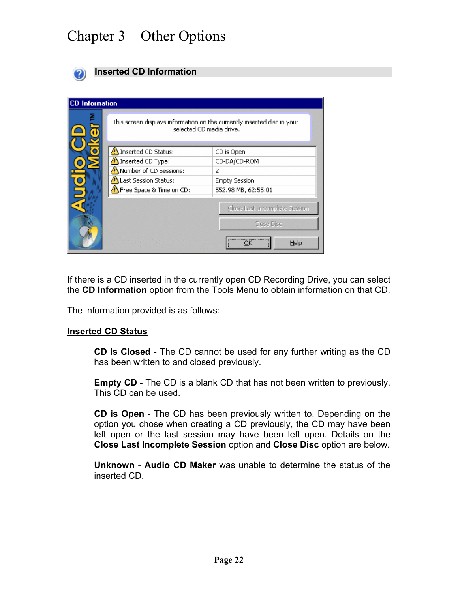<span id="page-21-0"></span>

#### **Inserted CD Information**

| <b>CD</b> Information |                                                                                                     |                                                         |
|-----------------------|-----------------------------------------------------------------------------------------------------|---------------------------------------------------------|
|                       | This screen displays information on the currently inserted disc in your<br>selected CD media drive. |                                                         |
|                       | Inserted CD Status:                                                                                 | CD is Open                                              |
|                       | Inserted CD Type:                                                                                   | CD-DA/CD-ROM                                            |
|                       | Number of CD Sessions:                                                                              | 2                                                       |
|                       | Last Session Status:                                                                                | <b>Empty Session</b>                                    |
|                       | Free Space & Time on CD:                                                                            | 552.98 MB, 62:55:01                                     |
|                       |                                                                                                     | Close Last Incomplete Session<br>Close Disc<br><br>Help |

If there is a CD inserted in the currently open CD Recording Drive, you can select the **CD Information** option from the Tools Menu to obtain information on that CD.

The information provided is as follows:

#### **Inserted CD Status**

**CD Is Closed** - The CD cannot be used for any further writing as the CD has been written to and closed previously.

**Empty CD** - The CD is a blank CD that has not been written to previously. This CD can be used.

**CD is Open** - The CD has been previously written to. Depending on the option you chose when creating a CD previously, the CD may have been left open or the last session may have been left open. Details on the **Close Last Incomplete Session** option and **Close Disc** option are below.

**Unknown** - **Audio CD Maker** was unable to determine the status of the inserted CD.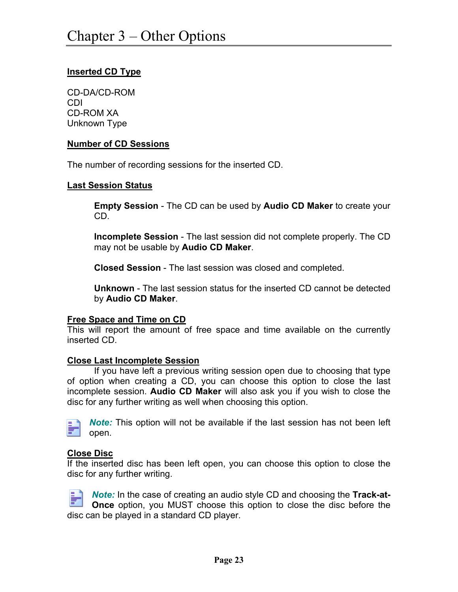#### **Inserted CD Type**

CD-DA/CD-ROM CDI CD-ROM XA Unknown Type

#### **Number of CD Sessions**

The number of recording sessions for the inserted CD.

#### **Last Session Status**

**Empty Session** - The CD can be used by **Audio CD Maker** to create your CD.

**Incomplete Session** - The last session did not complete properly. The CD may not be usable by **Audio CD Maker**.

**Closed Session** - The last session was closed and completed.

**Unknown** - The last session status for the inserted CD cannot be detected by **Audio CD Maker**.

#### **Free Space and Time on CD**

This will report the amount of free space and time available on the currently inserted CD.

#### **Close Last Incomplete Session**

If you have left a previous writing session open due to choosing that type of option when creating a CD, you can choose this option to close the last incomplete session. **Audio CD Maker** will also ask you if you wish to close the disc for any further writing as well when choosing this option.



*Note:* This option will not be available if the last session has not been left open.

#### **Close Disc**

If the inserted disc has been left open, you can choose this option to close the disc for any further writing.



*Note:* In the case of creating an audio style CD and choosing the **Track-at-Once** option, you MUST choose this option to close the disc before the disc can be played in a standard CD player.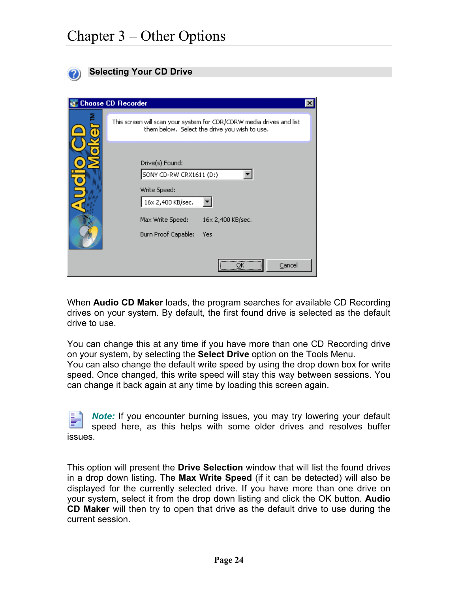<span id="page-23-0"></span>

| <b>Selecting Your CD Drive</b>                                                                                                                         |
|--------------------------------------------------------------------------------------------------------------------------------------------------------|
|                                                                                                                                                        |
| <b>Choose CD Recorder</b><br>$\boldsymbol{\mathsf{x}}$                                                                                                 |
| This screen will scan your system for CDR/CDRW media drives and list<br>them below. Select the drive you wish to use.                                  |
| Drive(s) Found:<br>SONY CD-RW CRX1611 (D:)<br>Write Speed:<br>16x 2,400 KB/sec.<br>16x 2,400 KB/sec.<br>Max Write Speed:<br>Burn Proof Capable:<br>Yes |
| <br>Cancel                                                                                                                                             |

When **Audio CD Maker** loads, the program searches for available CD Recording drives on your system. By default, the first found drive is selected as the default drive to use.

You can change this at any time if you have more than one CD Recording drive on your system, by selecting the **Select Drive** option on the Tools Menu. You can also change the default write speed by using the drop down box for write speed. Once changed, this write speed will stay this way between sessions. You

*Note:* If you encounter burning issues, you may try lowering your default

can change it back again at any time by loading this screen again.

speed here, as this helps with some older drives and resolves buffer issues.

This option will present the **Drive Selection** window that will list the found drives in a drop down listing. The **Max Write Speed** (if it can be detected) will also be displayed for the currently selected drive. If you have more than one drive on your system, select it from the drop down listing and click the OK button. **Audio CD Maker** will then try to open that drive as the default drive to use during the current session.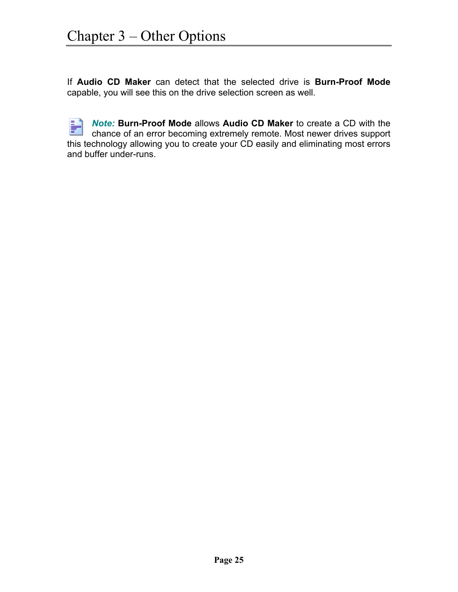If **Audio CD Maker** can detect that the selected drive is **Burn-Proof Mode** capable, you will see this on the drive selection screen as well.

P *Note:* **Burn-Proof Mode** allows **Audio CD Maker** to create a CD with the chance of an error becoming extremely remote. Most newer drives support this technology allowing you to create your CD easily and eliminating most errors and buffer under-runs.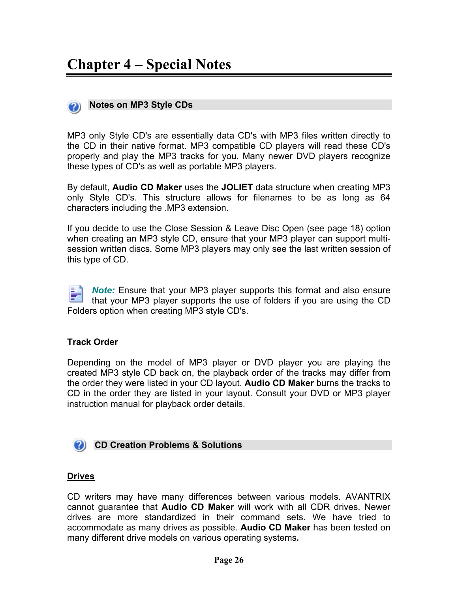<span id="page-25-0"></span>

MP3 only Style CD's are essentially data CD's with MP3 files written directly to the CD in their native format. MP3 compatible CD players will read these CD's properly and play the MP3 tracks for you. Many newer DVD players recognize these types of CD's as well as portable MP3 players.

By default, **Audio CD Maker** uses the **JOLIET** data structure when creating MP3 only Style CD's. This structure allows for filenames to be as long as 64 characters including the .MP3 extension.

If you decide to use the Close Session & Leave Disc Open (see page 18) option when creating an MP3 style CD, ensure that your MP3 player can support multisession written discs. Some MP3 players may only see the last written session of this type of CD.

*Note:* Ensure that your MP3 player supports this format and also ensure that your MP3 player supports the use of folders if you are using the CD Folders option when creating MP3 style CD's.

#### **Track Order**

Depending on the model of MP3 player or DVD player you are playing the created MP3 style CD back on, the playback order of the tracks may differ from the order they were listed in your CD layout. **Audio CD Maker** burns the tracks to CD in the order they are listed in your layout. Consult your DVD or MP3 player instruction manual for playback order details.

**CD Creation Problems & Solutions** 

#### **Drives**

CD writers may have many differences between various models. AVANTRIX cannot guarantee that **Audio CD Maker** will work with all CDR drives. Newer drives are more standardized in their command sets. We have tried to accommodate as many drives as possible. **Audio CD Maker** has been tested on many different drive models on various operating systems*.*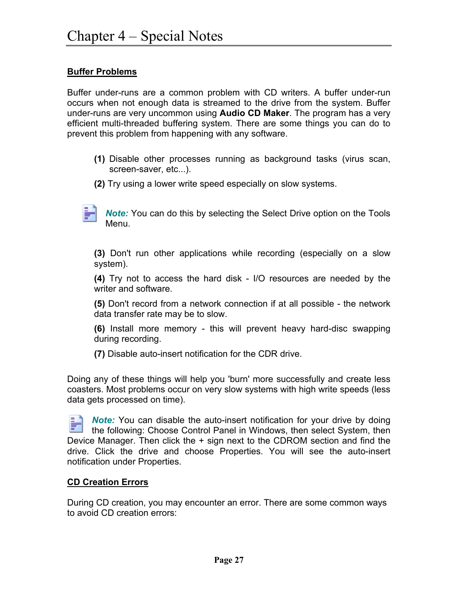#### **Buffer Problems**

Buffer under-runs are a common problem with CD writers. A buffer under-run occurs when not enough data is streamed to the drive from the system. Buffer under-runs are very uncommon using **Audio CD Maker**. The program has a very efficient multi-threaded buffering system. There are some things you can do to prevent this problem from happening with any software.

- **(1)** Disable other processes running as background tasks (virus scan, screen-saver, etc...).
- **(2)** Try using a lower write speed especially on slow systems.

*Note:* You can do this by selecting the Select Drive option on the Tools Menu.

**(3)** Don't run other applications while recording (especially on a slow system).

**(4)** Try not to access the hard disk - I/O resources are needed by the writer and software.

**(5)** Don't record from a network connection if at all possible - the network data transfer rate may be to slow.

**(6)** Install more memory - this will prevent heavy hard-disc swapping during recording.

**(7)** Disable auto-insert notification for the CDR drive.

Doing any of these things will help you 'burn' more successfully and create less coasters. Most problems occur on very slow systems with high write speeds (less data gets processed on time).

*Note:* You can disable the auto-insert notification for your drive by doing the following: Choose Control Panel in Windows, then select System, then Device Manager. Then click the + sign next to the CDROM section and find the drive. Click the drive and choose Properties. You will see the auto-insert notification under Properties.

#### **CD Creation Errors**

During CD creation, you may encounter an error. There are some common ways to avoid CD creation errors: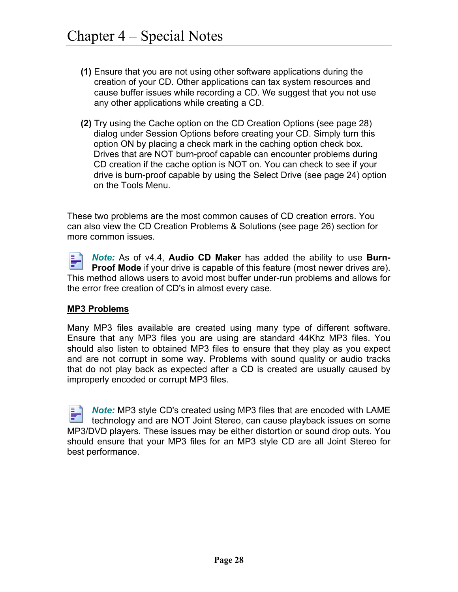- **(1)** Ensure that you are not using other software applications during the creation of your CD. Other applications can tax system resources and cause buffer issues while recording a CD. We suggest that you not use any other applications while creating a CD.
- **(2)** Try using the Cache option on the CD Creation Options (see page 28) dialog under Session Options before creating your CD. Simply turn this option ON by placing a check mark in the caching option check box. Drives that are NOT burn-proof capable can encounter problems during CD creation if the cache option is NOT on. You can check to see if your drive is burn-proof capable by using the Select Drive (see page 24) option on the Tools Menu.

These two problems are the most common causes of CD creation errors. You can also view the CD Creation Problems & Solutions (see page 26) section for more common issues.

Fillin *Note:* As of v4.4, **Audio CD Maker** has added the ability to use **Burn-Proof Mode** if your drive is capable of this feature (most newer drives are). This method allows users to avoid most buffer under-run problems and allows for the error free creation of CD's in almost every case.

#### **MP3 Problems**

Many MP3 files available are created using many type of different software. Ensure that any MP3 files you are using are standard 44Khz MP3 files. You should also listen to obtained MP3 files to ensure that they play as you expect and are not corrupt in some way. Problems with sound quality or audio tracks that do not play back as expected after a CD is created are usually caused by improperly encoded or corrupt MP3 files.

*Note:* MP3 style CD's created using MP3 files that are encoded with LAME technology and are NOT Joint Stereo, can cause playback issues on some MP3/DVD players. These issues may be either distortion or sound drop outs. You should ensure that your MP3 files for an MP3 style CD are all Joint Stereo for best performance.